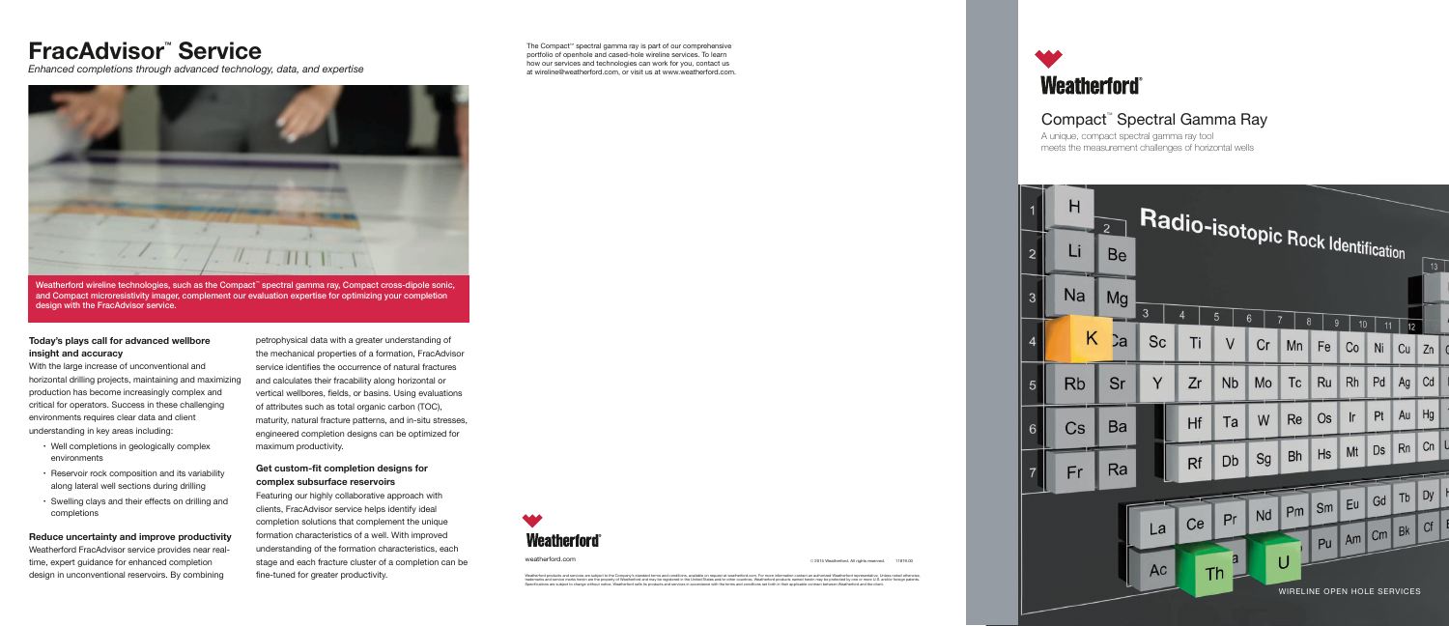## Compact™ Spectral Gamma Ray

A unique, compact spectral gamma ray tool meets the measurement challenges of horizontal wells



weatherford.com © 2015 Weatherford. All rights reserved. 11819.00

Weatherford products and services are subject to the Company's standard terms and conditions, available on request at weatherford.com. For more information contact an authorized Weatherford representative. Unless noted oth

The Compact™ spectral gamma ray is part of our comprehensive portfolio of openhole and cased-hole wireline services. To learn how our services and technologies can work for you, contact us at wireline@weatherford.com, or visit us at www.weatherford.com.



#### **Today's plays call for advanced wellbore insight and accuracy**

With the large increase of unconventional and horizontal drilling projects, maintaining and maximizing production has become increasingly complex and critical for operators. Success in these challenging environments requires clear data and client understanding in key areas including:



Weatherford wireline technologies, such as the Compact™ spectral gamma ray, Compact cross-dipole sonic, and Compact microresistivity imager, complement our evaluation expertise for optimizing your completion design with the FracAdvisor service.

- Well completions in geologically complex environments
- Reservoir rock composition and its variability along lateral well sections during drilling
- Swelling clays and their effects on drilling and completions

#### **Reduce uncertainty and improve productivity**

Weatherford FracAdvisor service provides near realtime, expert guidance for enhanced completion design in unconventional reservoirs. By combining

petrophysical data with a greater understanding of the mechanical properties of a formation, FracAdvisor service identifies the occurrence of natural fractures and calculates their fracability along horizontal or vertical wellbores, fields, or basins. Using evaluations of attributes such as total organic carbon (TOC), maturity, natural fracture patterns, and in-situ stresses, engineered completion designs can be optimized for maximum productivity.

### **Get custom-fit completion designs for complex subsurface reservoirs**

Featuring our highly collaborative approach with clients, FracAdvisor service helps identify ideal completion solutions that complement the unique formation characteristics of a well. With improved understanding of the formation characteristics, each stage and each fracture cluster of a completion can be fine-tuned for greater productivity.



## **FracAdvisor™ Service**

*Enhanced completions through advanced technology, data, and expertise*